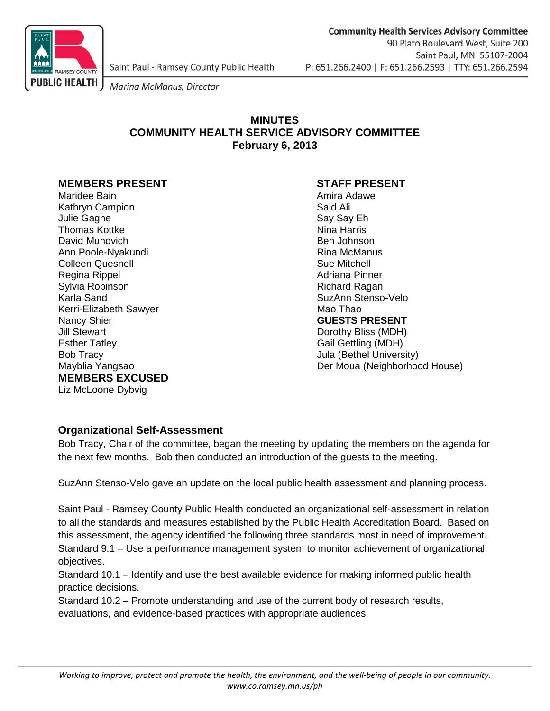

Marina McManus, Director

# **MINUTES COMMUNITY HEALTH SERVICE ADVISORY COMMITTEE February 6, 2013**

# **MEMBERS PRESENT STAFF PRESENT**

Maridee Bain **Amira Adawe** Amira Adawe Kathryn Campion **Said Ali** Julie Gagne Say Say Eh Thomas Kottke David Muhovich Ben Johnson Ann Poole-Nyakundi **Rina McManus** Rina McManus **Colleen Quesnell** College Colleen According Colleen According Sue Mitchell Regina Rippel **Adriana Pinner** Adriana Pinner Sylvia Robinson Richard Ragan Kerri-Elizabeth Sawyer<br>Nancy Shier Nancy Shier **Nancy Shier Contract Contract CONSTS PRESENT**<br>
University Stewart **CONSTS PRESENT**<br>
Dorothy Bliss (MDH) Esther Tatley Gail Gettling (MDH) Bob Tracy **Bob Tracy Community Bob Tracy** Jula (Bethel University) **MEMBERS EXCUSED** Liz McLoone Dybvig

SuzAnn Stenso-Velo<br>Mao Thao Dorothy Bliss (MDH) Mayblia Yangsao Der Moua (Neighborhood House)

# **Organizational Self-Assessment**

Bob Tracy, Chair of the committee, began the meeting by updating the members on the agenda for the next few months. Bob then conducted an introduction of the guests to the meeting.

SuzAnn Stenso-Velo gave an update on the local public health assessment and planning process.

Saint Paul - Ramsey County Public Health conducted an organizational self-assessment in relation to all the standards and measures established by the Public Health Accreditation Board. Based on this assessment, the agency identified the following three standards most in need of improvement. Standard 9.1 – Use a performance management system to monitor achievement of organizational objectives.

Standard 10.1 – Identify and use the best available evidence for making informed public health practice decisions.

Standard 10.2 – Promote understanding and use of the current body of research results, evaluations, and evidence-based practices with appropriate audiences.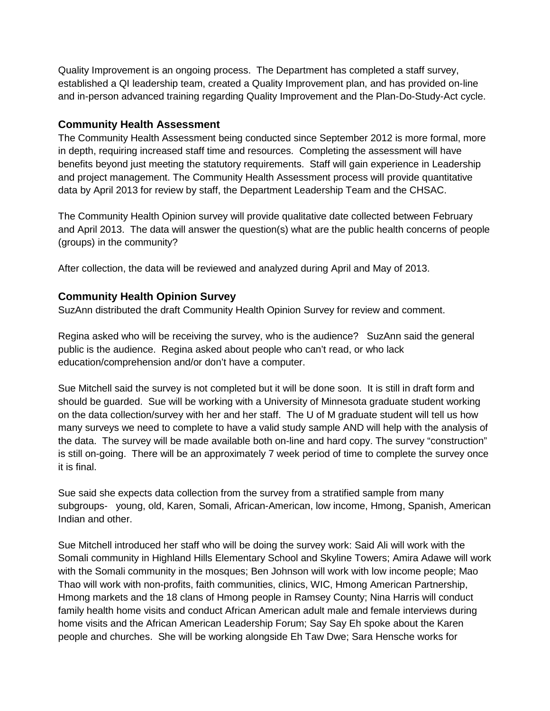Quality Improvement is an ongoing process. The Department has completed a staff survey, established a QI leadership team, created a Quality Improvement plan, and has provided on-line and in-person advanced training regarding Quality Improvement and the Plan-Do-Study-Act cycle.

### **Community Health Assessment**

The Community Health Assessment being conducted since September 2012 is more formal, more in depth, requiring increased staff time and resources. Completing the assessment will have benefits beyond just meeting the statutory requirements. Staff will gain experience in Leadership and project management. The Community Health Assessment process will provide quantitative data by April 2013 for review by staff, the Department Leadership Team and the CHSAC.

The Community Health Opinion survey will provide qualitative date collected between February and April 2013. The data will answer the question(s) what are the public health concerns of people (groups) in the community?

After collection, the data will be reviewed and analyzed during April and May of 2013.

### **Community Health Opinion Survey**

SuzAnn distributed the draft Community Health Opinion Survey for review and comment.

Regina asked who will be receiving the survey, who is the audience? SuzAnn said the general public is the audience. Regina asked about people who can't read, or who lack education/comprehension and/or don't have a computer.

Sue Mitchell said the survey is not completed but it will be done soon. It is still in draft form and should be guarded. Sue will be working with a University of Minnesota graduate student working on the data collection/survey with her and her staff. The U of M graduate student will tell us how many surveys we need to complete to have a valid study sample AND will help with the analysis of the data. The survey will be made available both on-line and hard copy. The survey "construction" is still on-going. There will be an approximately 7 week period of time to complete the survey once it is final.

Sue said she expects data collection from the survey from a stratified sample from many subgroups- young, old, Karen, Somali, African-American, low income, Hmong, Spanish, American Indian and other.

Sue Mitchell introduced her staff who will be doing the survey work: Said Ali will work with the Somali community in Highland Hills Elementary School and Skyline Towers; Amira Adawe will work with the Somali community in the mosques; Ben Johnson will work with low income people; Mao Thao will work with non-profits, faith communities, clinics, WIC, Hmong American Partnership, Hmong markets and the 18 clans of Hmong people in Ramsey County; Nina Harris will conduct family health home visits and conduct African American adult male and female interviews during home visits and the African American Leadership Forum; Say Say Eh spoke about the Karen people and churches. She will be working alongside Eh Taw Dwe; Sara Hensche works for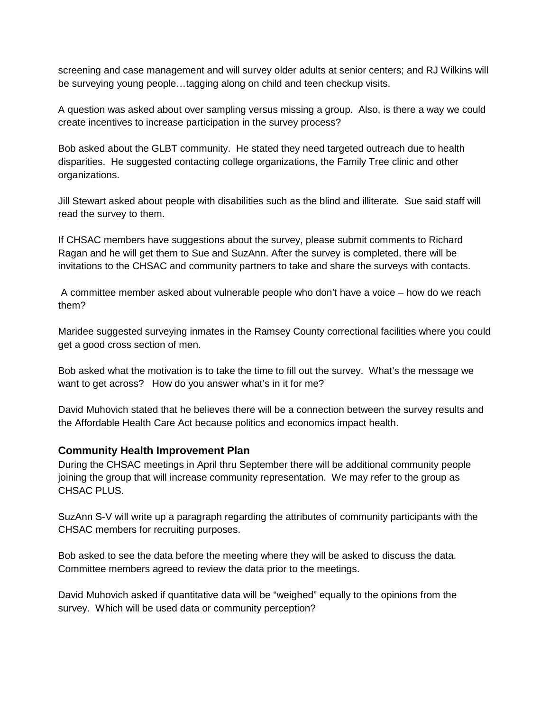screening and case management and will survey older adults at senior centers; and RJ Wilkins will be surveying young people…tagging along on child and teen checkup visits.

A question was asked about over sampling versus missing a group. Also, is there a way we could create incentives to increase participation in the survey process?

Bob asked about the GLBT community. He stated they need targeted outreach due to health disparities. He suggested contacting college organizations, the Family Tree clinic and other organizations.

Jill Stewart asked about people with disabilities such as the blind and illiterate. Sue said staff will read the survey to them.

If CHSAC members have suggestions about the survey, please submit comments to Richard Ragan and he will get them to Sue and SuzAnn. After the survey is completed, there will be invitations to the CHSAC and community partners to take and share the surveys with contacts.

A committee member asked about vulnerable people who don't have a voice – how do we reach them?

Maridee suggested surveying inmates in the Ramsey County correctional facilities where you could get a good cross section of men.

Bob asked what the motivation is to take the time to fill out the survey. What's the message we want to get across? How do you answer what's in it for me?

David Muhovich stated that he believes there will be a connection between the survey results and the Affordable Health Care Act because politics and economics impact health.

#### **Community Health Improvement Plan**

During the CHSAC meetings in April thru September there will be additional community people joining the group that will increase community representation. We may refer to the group as CHSAC PLUS.

SuzAnn S-V will write up a paragraph regarding the attributes of community participants with the CHSAC members for recruiting purposes.

Bob asked to see the data before the meeting where they will be asked to discuss the data. Committee members agreed to review the data prior to the meetings.

David Muhovich asked if quantitative data will be "weighed" equally to the opinions from the survey. Which will be used data or community perception?